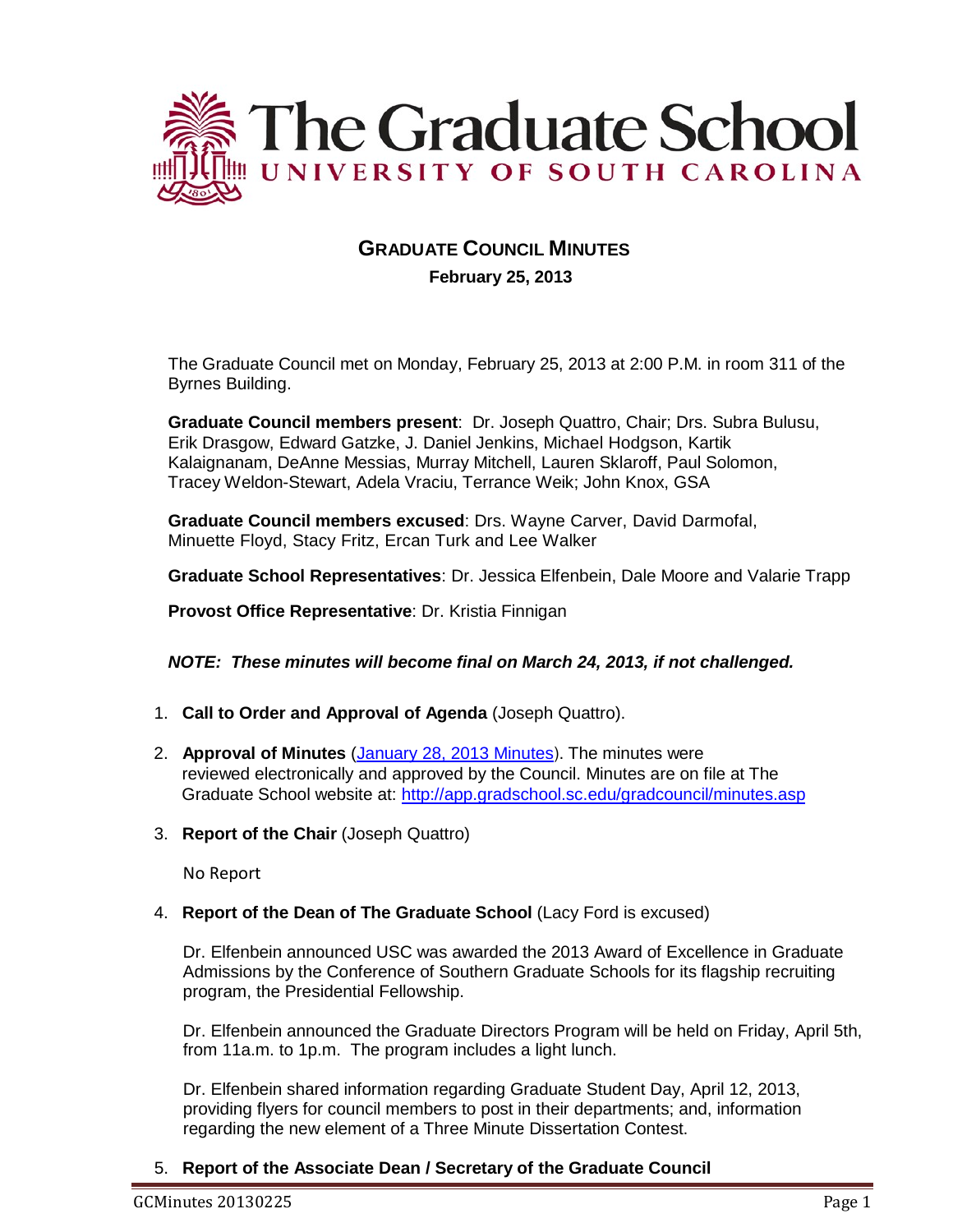

# **GRADUATE COUNCIL MINUTES February 25, 2013**

The Graduate Council met on Monday, February 25, 2013 at 2:00 P.M. in room 311 of the Byrnes Building.

**Graduate Council members present**: Dr. Joseph Quattro, Chair; Drs. Subra Bulusu, Erik Drasgow, Edward Gatzke, J. Daniel Jenkins, Michael Hodgson, Kartik Kalaignanam, DeAnne Messias, Murray Mitchell, Lauren Sklaroff, Paul Solomon, Tracey Weldon-Stewart, Adela Vraciu, Terrance Weik; John Knox, GSA

**Graduate Council members excused**: Drs. Wayne Carver, David Darmofal, Minuette Floyd, Stacy Fritz, Ercan Turk and Lee Walker

**Graduate School Representatives**: Dr. Jessica Elfenbein, Dale Moore and Valarie Trapp

**Provost Office Representative**: Dr. Kristia Finnigan

### *NOTE: These minutes will become final on March 24, 2013, if not challenged.*

- 1. **Call to Order and Approval of Agenda** (Joseph Quattro).
- 2. **Approval of Minutes** [\(January 28, 2013 Minutes](http://gradschool.sc.edu/facstaff/gradcouncil/2012/Graduate%20Council%20Minutes%2020130128.pdf)). The minutes were reviewed electronically and approved by the Council. Minutes are on file at The Graduate School website at: <http://app.gradschool.sc.edu/gradcouncil/minutes.asp>
- 3. **Report of the Chair** (Joseph Quattro)

No Report

4. **Report of the Dean of The Graduate School** (Lacy Ford is excused)

Dr. Elfenbein announced USC was awarded the 2013 Award of Excellence in Graduate Admissions by the Conference of Southern Graduate Schools for its flagship recruiting program, the Presidential Fellowship.

Dr. Elfenbein announced the Graduate Directors Program will be held on Friday, April 5th, from 11a.m. to 1p.m. The program includes a light lunch.

Dr. Elfenbein shared information regarding Graduate Student Day, April 12, 2013, providing flyers for council members to post in their departments; and, information regarding the new element of a Three Minute Dissertation Contest.

5. **Report of the Associate Dean / Secretary of the Graduate Council**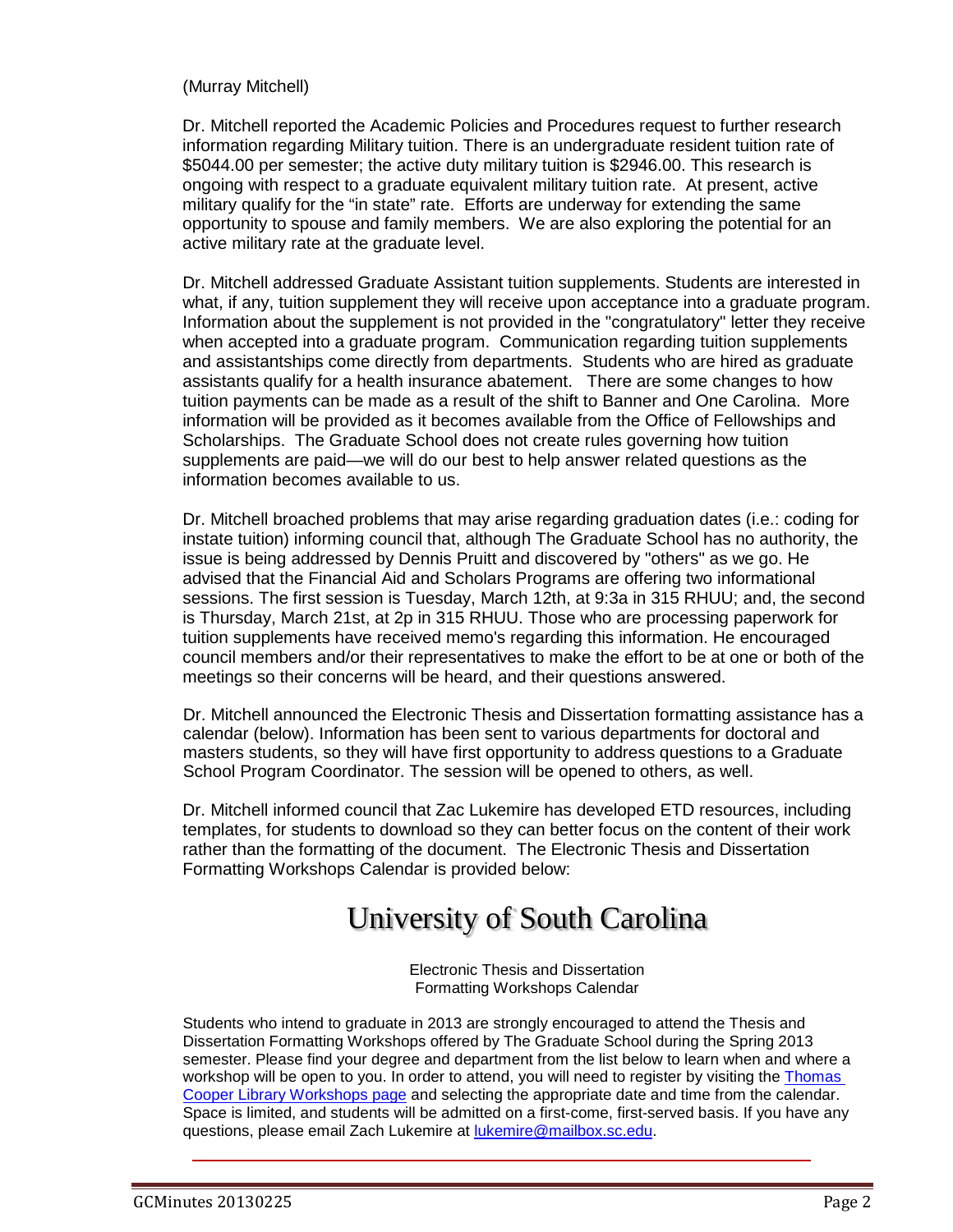### (Murray Mitchell)

Dr. Mitchell reported the Academic Policies and Procedures request to further research information regarding Military tuition. There is an undergraduate resident tuition rate of \$5044.00 per semester; the active duty military tuition is \$2946.00. This research is ongoing with respect to a graduate equivalent military tuition rate. At present, active military qualify for the "in state" rate. Efforts are underway for extending the same opportunity to spouse and family members. We are also exploring the potential for an active military rate at the graduate level.

Dr. Mitchell addressed Graduate Assistant tuition supplements. Students are interested in what, if any, tuition supplement they will receive upon acceptance into a graduate program. Information about the supplement is not provided in the "congratulatory" letter they receive when accepted into a graduate program. Communication regarding tuition supplements and assistantships come directly from departments. Students who are hired as graduate assistants qualify for a health insurance abatement. There are some changes to how tuition payments can be made as a result of the shift to Banner and One Carolina. More information will be provided as it becomes available from the Office of Fellowships and Scholarships. The Graduate School does not create rules governing how tuition supplements are paid—we will do our best to help answer related questions as the information becomes available to us.

Dr. Mitchell broached problems that may arise regarding graduation dates (i.e.: coding for instate tuition) informing council that, although The Graduate School has no authority, the issue is being addressed by Dennis Pruitt and discovered by "others" as we go. He advised that the Financial Aid and Scholars Programs are offering two informational sessions. The first session is Tuesday, March 12th, at 9:3a in 315 RHUU; and, the second is Thursday, March 21st, at 2p in 315 RHUU. Those who are processing paperwork for tuition supplements have received memo's regarding this information. He encouraged council members and/or their representatives to make the effort to be at one or both of the meetings so their concerns will be heard, and their questions answered.

Dr. Mitchell announced the Electronic Thesis and Dissertation formatting assistance has a calendar (below). Information has been sent to various departments for doctoral and masters students, so they will have first opportunity to address questions to a Graduate School Program Coordinator. The session will be opened to others, as well.

Dr. Mitchell informed council that Zac Lukemire has developed ETD resources, including templates, for students to download so they can better focus on the content of their work rather than the formatting of the document. The Electronic Thesis and Dissertation Formatting Workshops Calendar is provided below:

# University of South Carolina

Electronic Thesis and Dissertation Formatting Workshops Calendar

Students who intend to graduate in 2013 are strongly encouraged to attend the Thesis and Dissertation Formatting Workshops offered by The Graduate School during the Spring 2013 semester. Please find your degree and department from the list below to learn when and where a workshop will be open to you. In order to attend, you will need to register by visiting the Thomas [Cooper Library Workshops page](http://guides.library.sc.edu/content.php?pid=350378&sid=2866968) and selecting the appropriate date and time from the calendar. Space is limited, and students will be admitted on a first-come, first-served basis. If you have any questions, please email Zach Lukemire at [lukemire@mailbox.sc.edu.](mailto:lukemire@mailbox.sc.edu)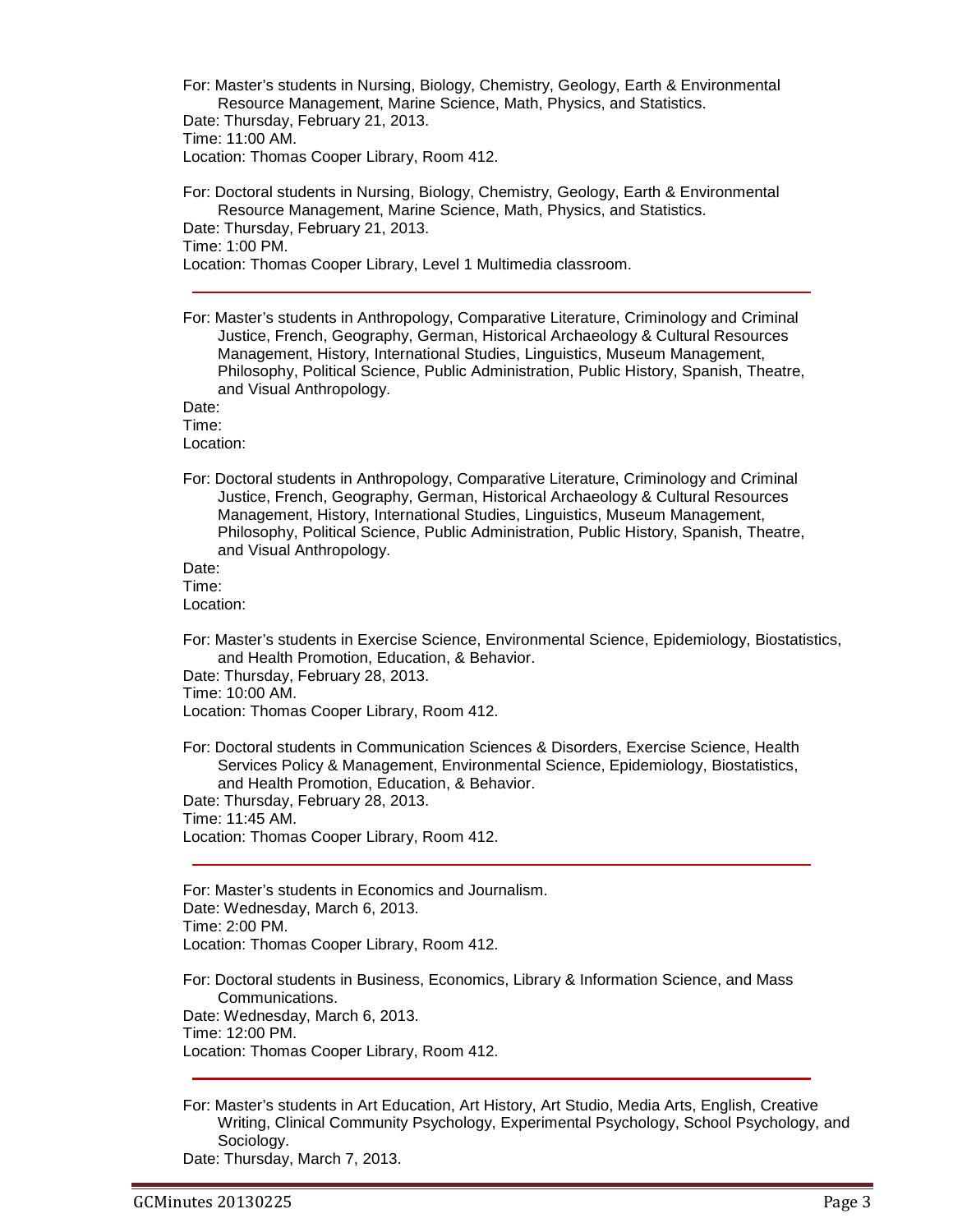For: Master's students in Nursing, Biology, Chemistry, Geology, Earth & Environmental Resource Management, Marine Science, Math, Physics, and Statistics. Date: Thursday, February 21, 2013. Time: 11:00 AM. Location: Thomas Cooper Library, Room 412. For: Doctoral students in Nursing, Biology, Chemistry, Geology, Earth & Environmental Resource Management, Marine Science, Math, Physics, and Statistics.

Date: Thursday, February 21, 2013. Time: 1:00 PM. Location: Thomas Cooper Library, Level 1 Multimedia classroom.

For: Master's students in Anthropology, Comparative Literature, Criminology and Criminal Justice, French, Geography, German, Historical Archaeology & Cultural Resources Management, History, International Studies, Linguistics, Museum Management, Philosophy, Political Science, Public Administration, Public History, Spanish, Theatre, and Visual Anthropology.

Date: Time:

Location:

For: Doctoral students in Anthropology, Comparative Literature, Criminology and Criminal Justice, French, Geography, German, Historical Archaeology & Cultural Resources Management, History, International Studies, Linguistics, Museum Management, Philosophy, Political Science, Public Administration, Public History, Spanish, Theatre, and Visual Anthropology.

Date: Time:

Location:

For: Master's students in Exercise Science, Environmental Science, Epidemiology, Biostatistics, and Health Promotion, Education, & Behavior.

Date: Thursday, February 28, 2013.

Time: 10:00 AM.

Location: Thomas Cooper Library, Room 412.

For: Doctoral students in Communication Sciences & Disorders, Exercise Science, Health Services Policy & Management, Environmental Science, Epidemiology, Biostatistics, and Health Promotion, Education, & Behavior. Date: Thursday, February 28, 2013.

Time: 11:45 AM.

Location: Thomas Cooper Library, Room 412.

For: Master's students in Economics and Journalism. Date: Wednesday, March 6, 2013. Time: 2:00 PM. Location: Thomas Cooper Library, Room 412.

For: Doctoral students in Business, Economics, Library & Information Science, and Mass Communications. Date: Wednesday, March 6, 2013. Time: 12:00 PM. Location: Thomas Cooper Library, Room 412.

For: Master's students in Art Education, Art History, Art Studio, Media Arts, English, Creative Writing, Clinical Community Psychology, Experimental Psychology, School Psychology, and Sociology.

Date: Thursday, March 7, 2013.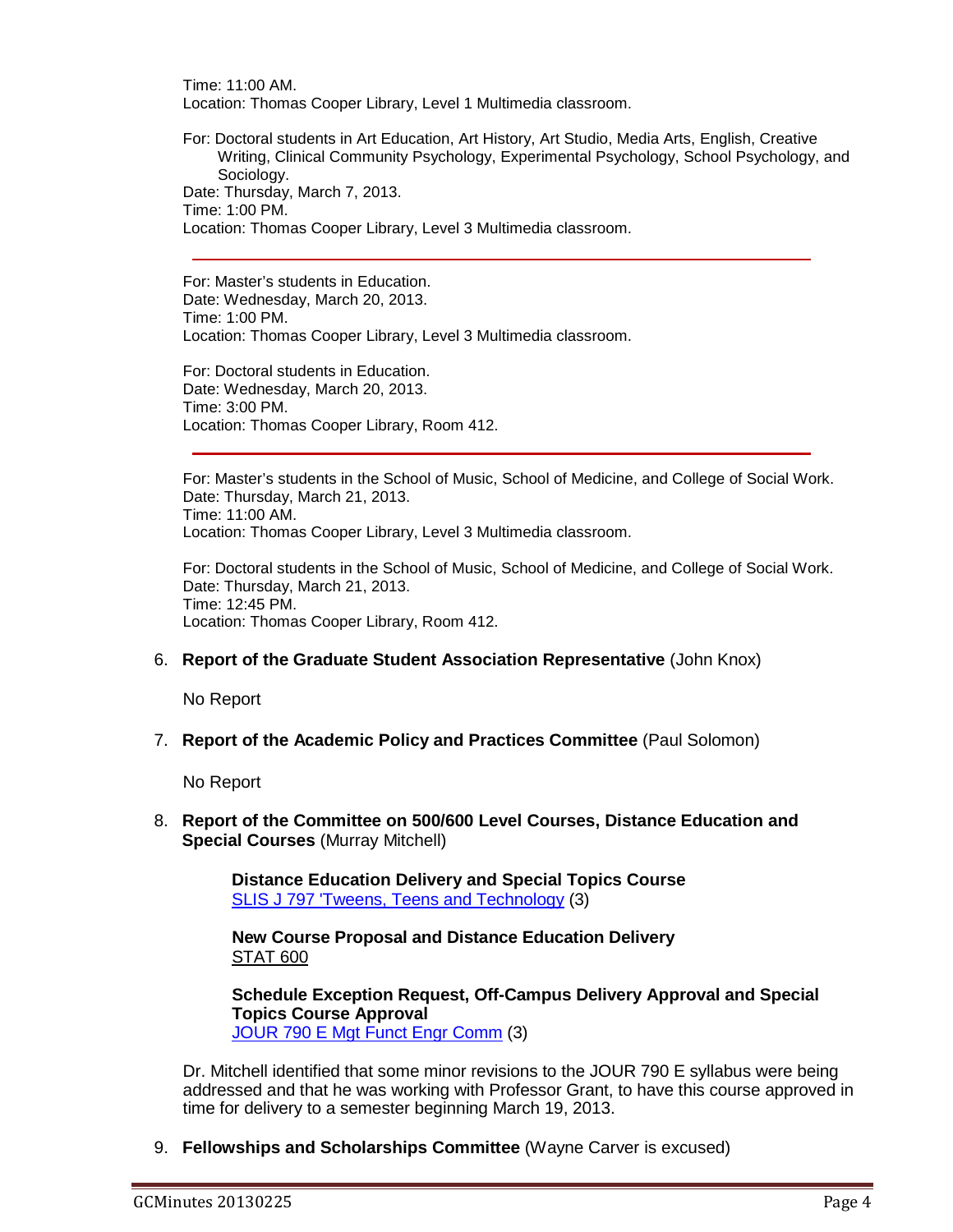Time: 11:00 AM. Location: Thomas Cooper Library, Level 1 Multimedia classroom.

For: Doctoral students in Art Education, Art History, Art Studio, Media Arts, English, Creative Writing, Clinical Community Psychology, Experimental Psychology, School Psychology, and Sociology. Date: Thursday, March 7, 2013. Time: 1:00 PM. Location: Thomas Cooper Library, Level 3 Multimedia classroom.

For: Master's students in Education. Date: Wednesday, March 20, 2013. Time: 1:00 PM.

Location: Thomas Cooper Library, Level 3 Multimedia classroom.

For: Doctoral students in Education. Date: Wednesday, March 20, 2013. Time: 3:00 PM. Location: Thomas Cooper Library, Room 412.

For: Master's students in the School of Music, School of Medicine, and College of Social Work. Date: Thursday, March 21, 2013. Time: 11:00 AM. Location: Thomas Cooper Library, Level 3 Multimedia classroom.

For: Doctoral students in the School of Music, School of Medicine, and College of Social Work. Date: Thursday, March 21, 2013. Time: 12:45 PM. Location: Thomas Cooper Library, Room 412.

### 6. **Report of the Graduate Student Association Representative** (John Knox)

No Report

7. **Report of the Academic Policy and Practices Committee** (Paul Solomon)

No Report

8. **Report of the Committee on 500/600 Level Courses, Distance Education and Special Courses** (Murray Mitchell)

> **Distance Education Delivery and Special Topics Course**  [SLIS J 797 'Tweens, Teens and Technology](http://gradschool.sc.edu/facstaff/gradcouncil/2012/SLIS%20J%20797%20) (3)

**New Course Proposal and Distance Education Delivery** STAT 600

**Schedule Exception Request, Off-Campus Delivery Approval and Special Topics Course Approval** [JOUR 790 E Mgt Funct Engr Comm](http://gradschool.sc.edu/facstaff/gradcouncil/2012/JOUR%20790%20E%20Management%20Function%20for%20Engineering%20Communicators%20STC%20DED%20SER_Redacted.pdf) (3)

Dr. Mitchell identified that some minor revisions to the JOUR 790 E syllabus were being addressed and that he was working with Professor Grant, to have this course approved in time for delivery to a semester beginning March 19, 2013.

9. **Fellowships and Scholarships Committee** (Wayne Carver is excused)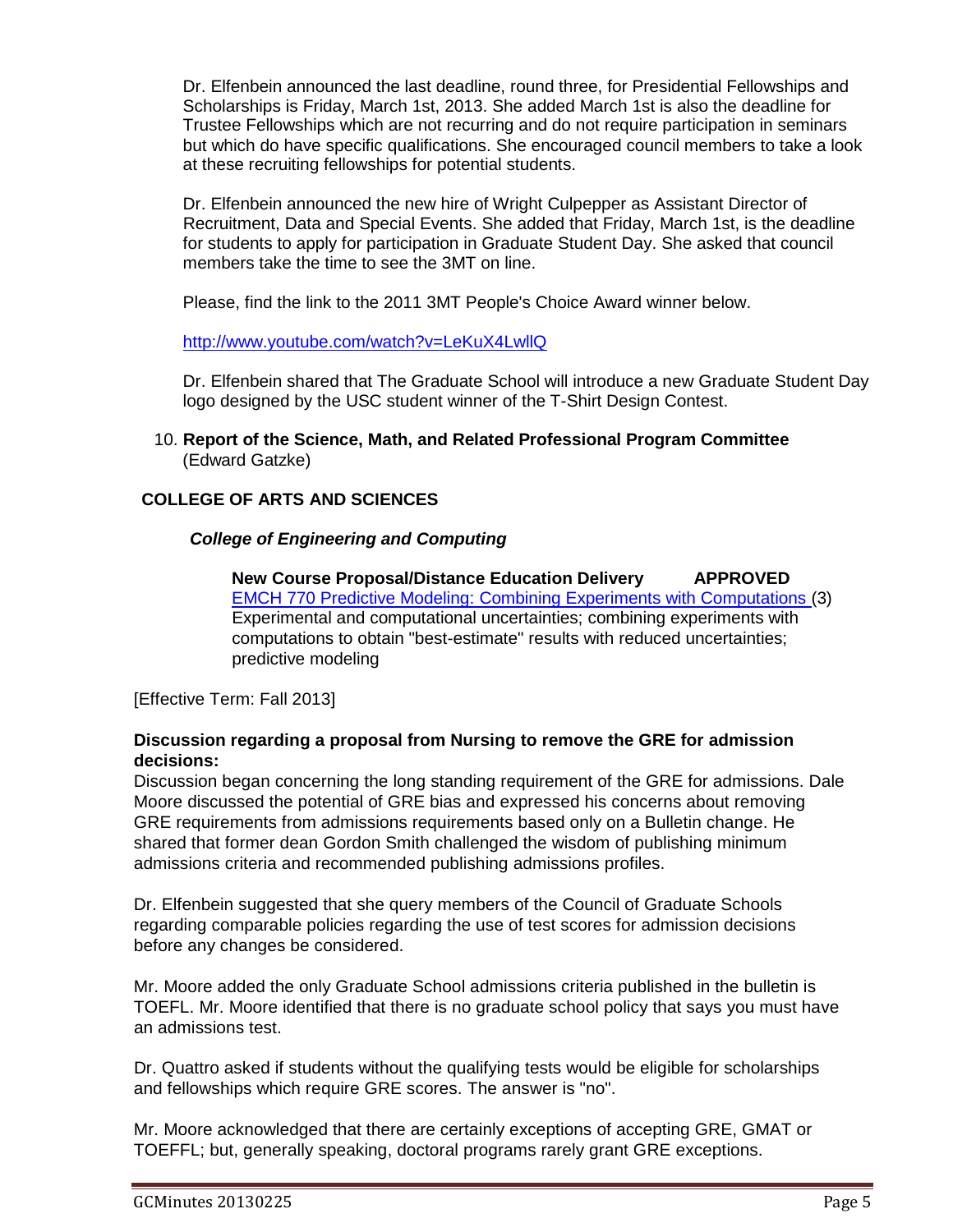Dr. Elfenbein announced the last deadline, round three, for Presidential Fellowships and Scholarships is Friday, March 1st, 2013. She added March 1st is also the deadline for Trustee Fellowships which are not recurring and do not require participation in seminars but which do have specific qualifications. She encouraged council members to take a look at these recruiting fellowships for potential students.

Dr. Elfenbein announced the new hire of Wright Culpepper as Assistant Director of Recruitment, Data and Special Events. She added that Friday, March 1st, is the deadline for students to apply for participation in Graduate Student Day. She asked that council members take the time to see the 3MT on line.

Please, find the link to the 2011 3MT People's Choice Award winner below.

<http://www.youtube.com/watch?v=LeKuX4LwllQ>

Dr. Elfenbein shared that The Graduate School will introduce a new Graduate Student Day logo designed by the USC student winner of the T-Shirt Design Contest.

10. **Report of the Science, Math, and Related Professional Program Committee** (Edward Gatzke)

### **COLLEGE OF ARTS AND SCIENCES**

### *College of Engineering and Computing*

**New Course Proposal/Distance Education Delivery APPROVED** [EMCH 770 Predictive Modeling: Combining Experiments with Computations \(](http://gradschool.sc.edu/facstaff/gradcouncil/2012/EMCH%20770%20Predictive%20Modeling%20Combining%20Experiments%20with%20Computations%20NCP%20DED_Redacted.pdf)3) Experimental and computational uncertainties; combining experiments with computations to obtain "best-estimate" results with reduced uncertainties; predictive modeling

[Effective Term: Fall 2013]

### **Discussion regarding a proposal from Nursing to remove the GRE for admission decisions:**

Discussion began concerning the long standing requirement of the GRE for admissions. Dale Moore discussed the potential of GRE bias and expressed his concerns about removing GRE requirements from admissions requirements based only on a Bulletin change. He shared that former dean Gordon Smith challenged the wisdom of publishing minimum admissions criteria and recommended publishing admissions profiles.

Dr. Elfenbein suggested that she query members of the Council of Graduate Schools regarding comparable policies regarding the use of test scores for admission decisions before any changes be considered.

Mr. Moore added the only Graduate School admissions criteria published in the bulletin is TOEFL. Mr. Moore identified that there is no graduate school policy that says you must have an admissions test.

Dr. Quattro asked if students without the qualifying tests would be eligible for scholarships and fellowships which require GRE scores. The answer is "no".

Mr. Moore acknowledged that there are certainly exceptions of accepting GRE, GMAT or TOEFFL; but, generally speaking, doctoral programs rarely grant GRE exceptions.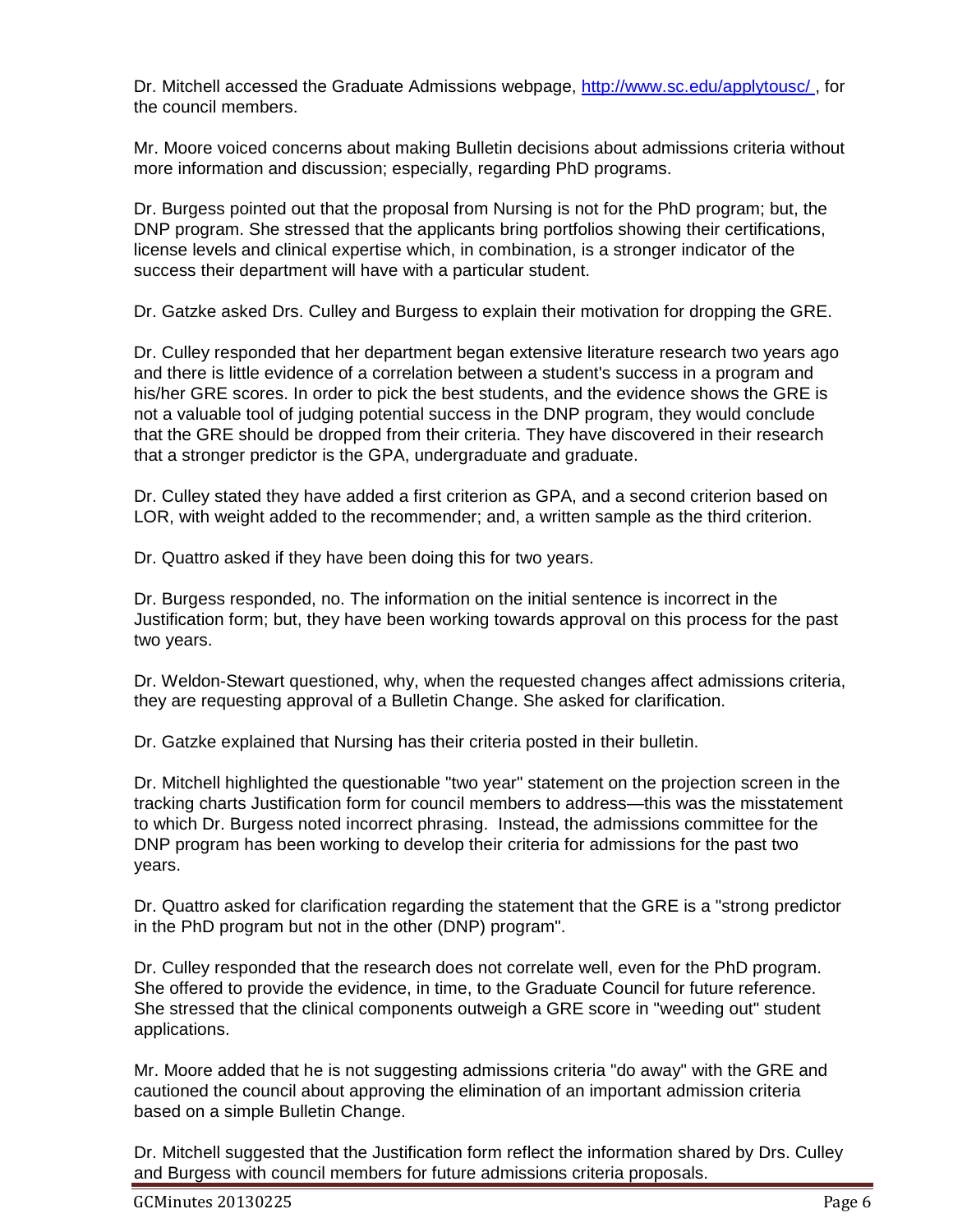Dr. Mitchell accessed the Graduate Admissions webpage, [http://www.sc.edu/applytousc/ ,](http://www.sc.edu/applytousc/) for the council members.

Mr. Moore voiced concerns about making Bulletin decisions about admissions criteria without more information and discussion; especially, regarding PhD programs.

Dr. Burgess pointed out that the proposal from Nursing is not for the PhD program; but, the DNP program. She stressed that the applicants bring portfolios showing their certifications, license levels and clinical expertise which, in combination, is a stronger indicator of the success their department will have with a particular student.

Dr. Gatzke asked Drs. Culley and Burgess to explain their motivation for dropping the GRE.

Dr. Culley responded that her department began extensive literature research two years ago and there is little evidence of a correlation between a student's success in a program and his/her GRE scores. In order to pick the best students, and the evidence shows the GRE is not a valuable tool of judging potential success in the DNP program, they would conclude that the GRE should be dropped from their criteria. They have discovered in their research that a stronger predictor is the GPA, undergraduate and graduate.

Dr. Culley stated they have added a first criterion as GPA, and a second criterion based on LOR, with weight added to the recommender; and, a written sample as the third criterion.

Dr. Quattro asked if they have been doing this for two years.

Dr. Burgess responded, no. The information on the initial sentence is incorrect in the Justification form; but, they have been working towards approval on this process for the past two years.

Dr. Weldon-Stewart questioned, why, when the requested changes affect admissions criteria, they are requesting approval of a Bulletin Change. She asked for clarification.

Dr. Gatzke explained that Nursing has their criteria posted in their bulletin.

Dr. Mitchell highlighted the questionable "two year" statement on the projection screen in the tracking charts Justification form for council members to address—this was the misstatement to which Dr. Burgess noted incorrect phrasing. Instead, the admissions committee for the DNP program has been working to develop their criteria for admissions for the past two years.

Dr. Quattro asked for clarification regarding the statement that the GRE is a "strong predictor in the PhD program but not in the other (DNP) program".

Dr. Culley responded that the research does not correlate well, even for the PhD program. She offered to provide the evidence, in time, to the Graduate Council for future reference. She stressed that the clinical components outweigh a GRE score in "weeding out" student applications.

Mr. Moore added that he is not suggesting admissions criteria "do away" with the GRE and cautioned the council about approving the elimination of an important admission criteria based on a simple Bulletin Change.

Dr. Mitchell suggested that the Justification form reflect the information shared by Drs. Culley and Burgess with council members for future admissions criteria proposals.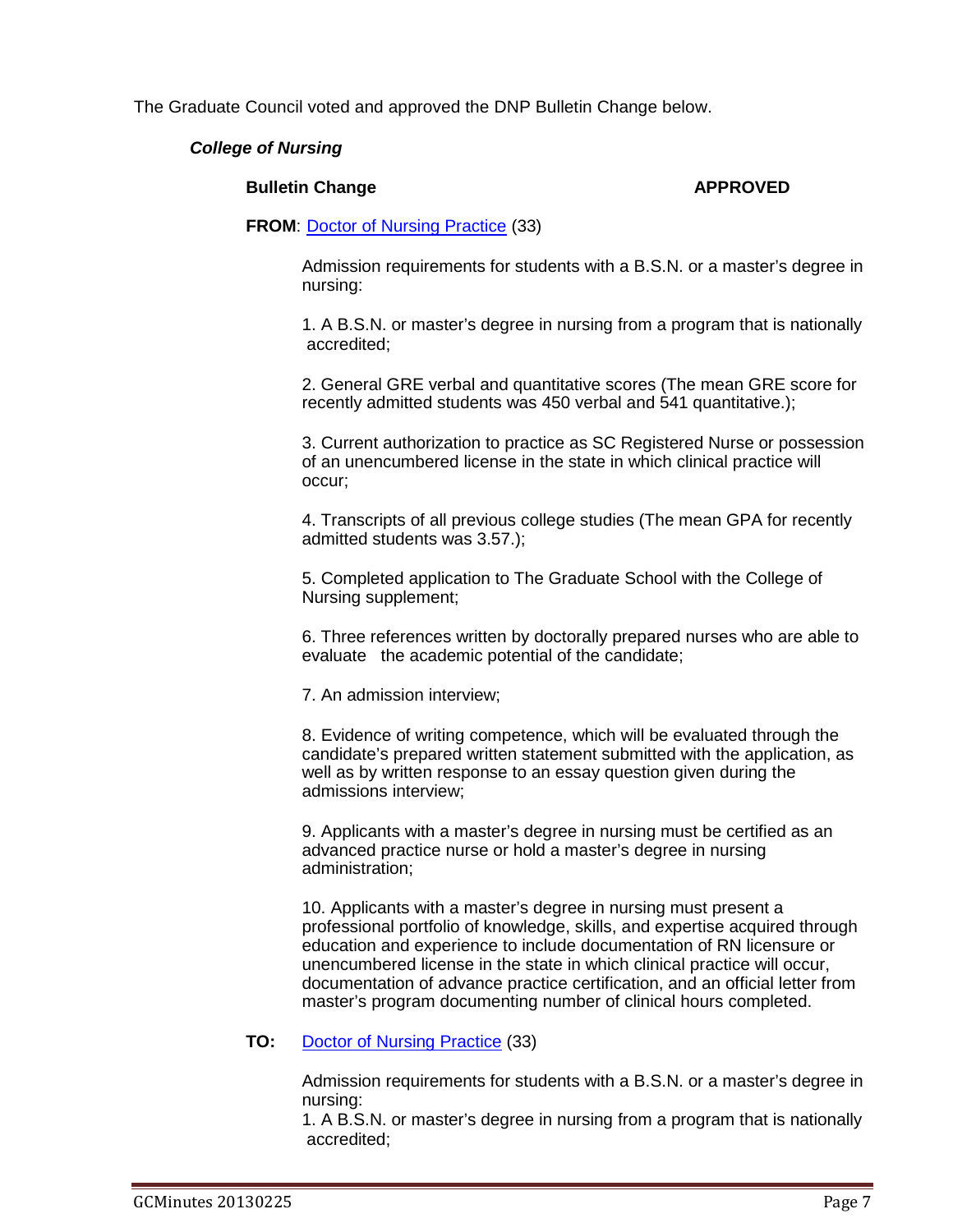The Graduate Council voted and approved the DNP Bulletin Change below.

### *College of Nursing*

### **Bulletin Change APPROVED**

### **FROM**: [Doctor of Nursing Practice](http://gradschool.sc.edu/facstaff/gradcouncil/2012/NURS%20Doctor%20of%20Nursing%20Practice%20BCH%20u20130214_Redacted.pdf) (33)

Admission requirements for students with a B.S.N. or a master's degree in nursing:

1. A B.S.N. or master's degree in nursing from a program that is nationally accredited;

2. General GRE verbal and quantitative scores (The mean GRE score for recently admitted students was 450 verbal and 541 quantitative.);

3. Current authorization to practice as SC Registered Nurse or possession of an unencumbered license in the state in which clinical practice will occur;

4. Transcripts of all previous college studies (The mean GPA for recently admitted students was 3.57.);

5. Completed application to The Graduate School with the College of Nursing supplement;

6. Three references written by doctorally prepared nurses who are able to evaluate the academic potential of the candidate;

7. An admission interview;

8. Evidence of writing competence, which will be evaluated through the candidate's prepared written statement submitted with the application, as well as by written response to an essay question given during the admissions interview;

9. Applicants with a master's degree in nursing must be certified as an advanced practice nurse or hold a master's degree in nursing administration;

10. Applicants with a master's degree in nursing must present a professional portfolio of knowledge, skills, and expertise acquired through education and experience to include documentation of RN licensure or unencumbered license in the state in which clinical practice will occur, documentation of advance practice certification, and an official letter from master's program documenting number of clinical hours completed.

### **TO:** [Doctor of Nursing Practice](http://gradschool.sc.edu/facstaff/gradcouncil/2012/NURS%20Doctor%20of%20Nursing%20Practice%20BCH%20u20130214_Redacted.pdf) (33)

Admission requirements for students with a B.S.N. or a master's degree in nursing:

1. A B.S.N. or master's degree in nursing from a program that is nationally accredited;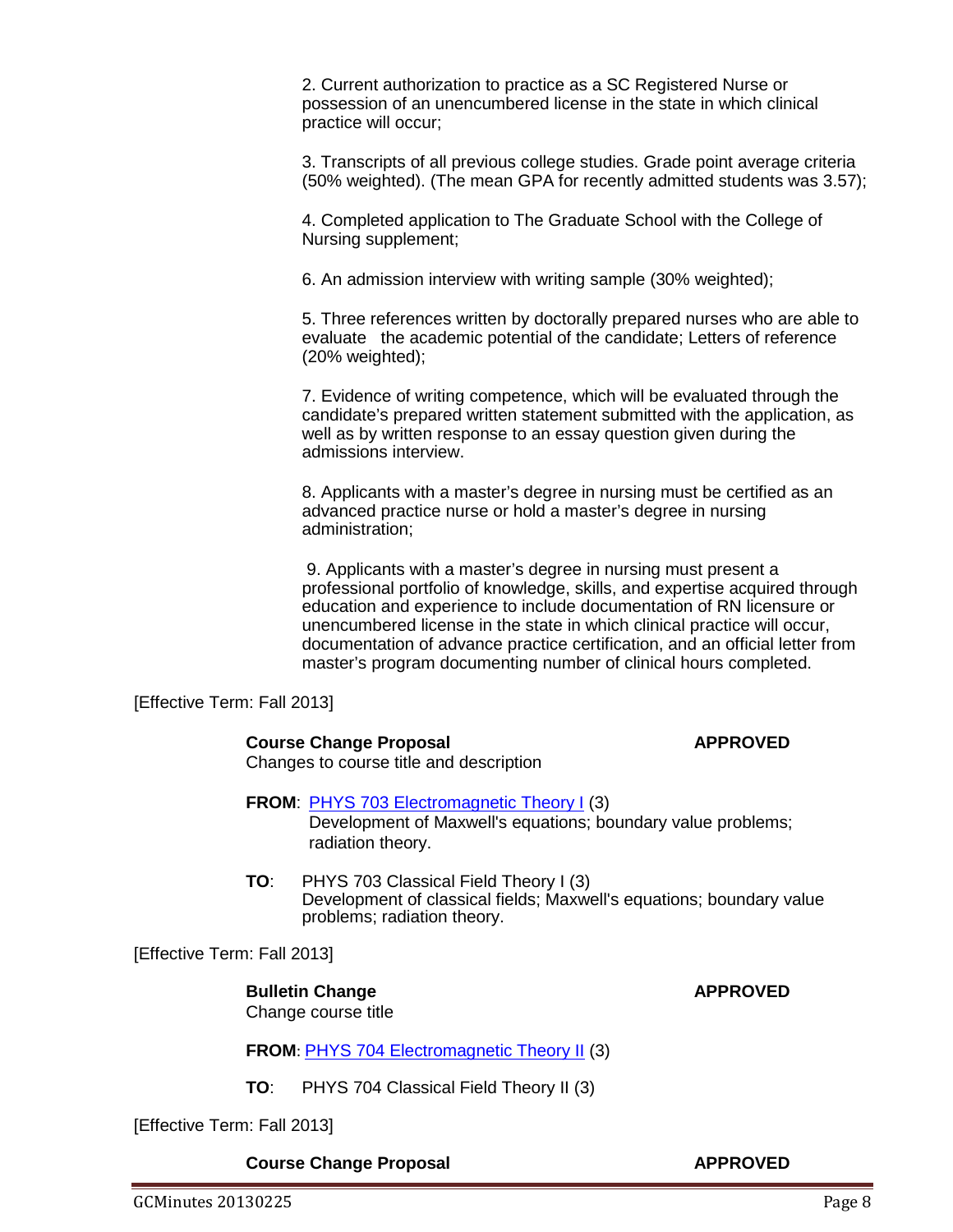2. Current authorization to practice as a SC Registered Nurse or possession of an unencumbered license in the state in which clinical practice will occur;

3. Transcripts of all previous college studies. Grade point average criteria (50% weighted). (The mean GPA for recently admitted students was 3.57);

4. Completed application to The Graduate School with the College of Nursing supplement;

6. An admission interview with writing sample (30% weighted);

5. Three references written by doctorally prepared nurses who are able to evaluate the academic potential of the candidate; Letters of reference (20% weighted);

7. Evidence of writing competence, which will be evaluated through the candidate's prepared written statement submitted with the application, as well as by written response to an essay question given during the admissions interview.

8. Applicants with a master's degree in nursing must be certified as an advanced practice nurse or hold a master's degree in nursing administration;

9. Applicants with a master's degree in nursing must present a professional portfolio of knowledge, skills, and expertise acquired through education and experience to include documentation of RN licensure or unencumbered license in the state in which clinical practice will occur, documentation of advance practice certification, and an official letter from master's program documenting number of clinical hours completed.

[Effective Term: Fall 2013]

### **Course Change Proposal <b>APPROVED**

Changes to course title and description

### **FROM:** [PHYS 703 Electromagnetic Theory I](http://gradschool.sc.edu/facstaff/gradcouncil/2012/PHYS%20703%20Electromagnetic%20Theory%20I%20CCP%20u20130214.pdf) (3)

Development of Maxwell's equations; boundary value problems; radiation theory.

**TO**: PHYS 703 Classical Field Theory I (3) Development of classical fields; Maxwell's equations; boundary value problems; radiation theory.

[Effective Term: Fall 2013]

**Bulletin Change APPROVED** Change course title

### **FROM**: [PHYS 704 Electromagnetic Theory II](http://gradschool.sc.edu/facstaff/gradcouncil/2012/PHYS%20704%20Electromagnetic%20Theory%20II%20CCP%20u20130214.pdf) (3)

**TO**: PHYS 704 Classical Field Theory II (3)

[Effective Term: Fall 2013]

**Course Change Proposal APPROVED**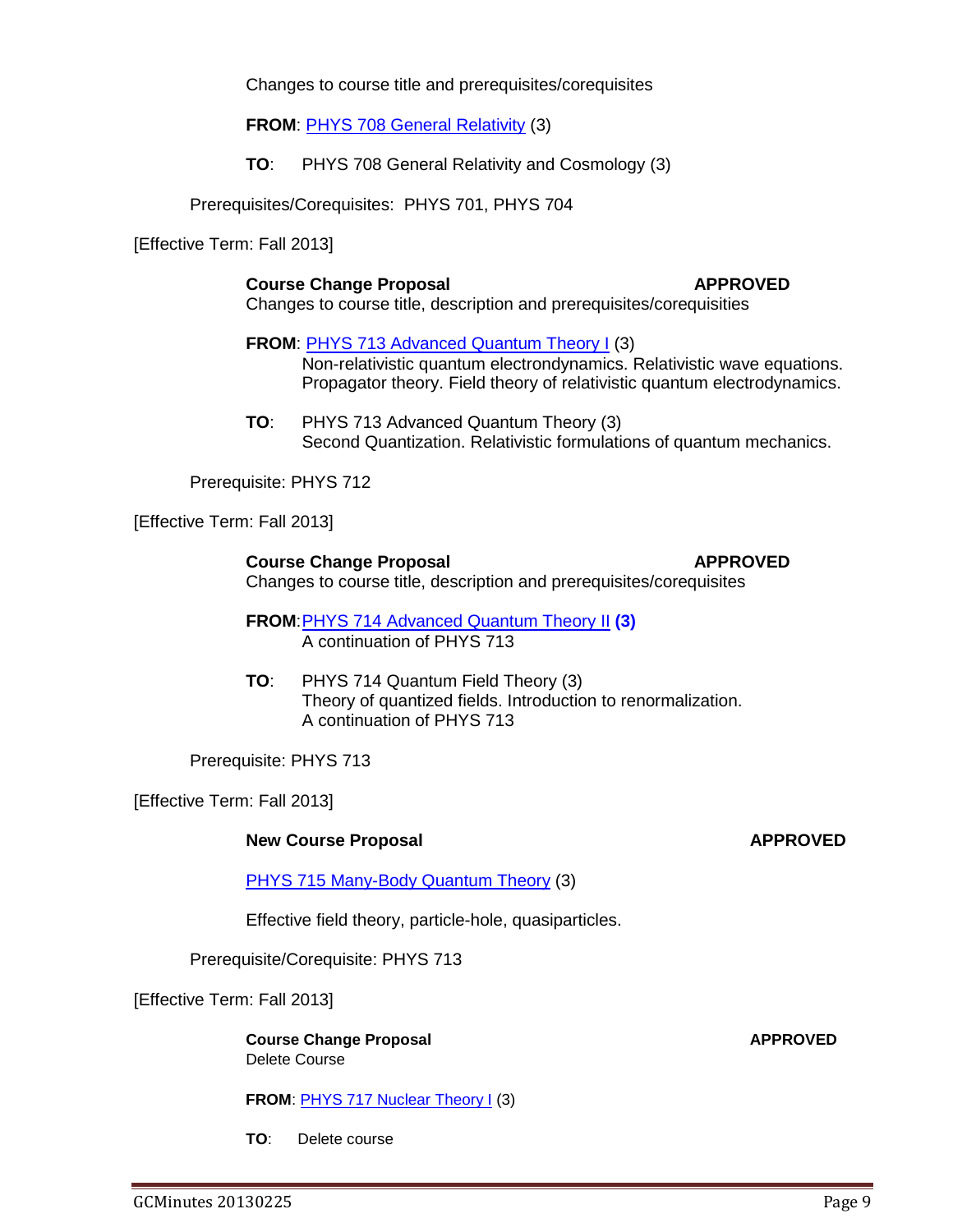Changes to course title and prerequisites/corequisites

**FROM**: [PHYS 708 General Relativity](http://gradschool.sc.edu/facstaff/gradcouncil/2012/PHYS%20708%20General%20Relativity%20CCP%20u20130214.pdf) (3)

**TO**: PHYS 708 General Relativity and Cosmology (3)

Prerequisites/Corequisites: PHYS 701, PHYS 704

[Effective Term: Fall 2013]

**Course Change Proposal <b>APPROVED** Changes to course title, description and prerequisites/corequisities

**FROM**: [PHYS 713 Advanced Quantum Theory I](http://gradschool.sc.edu/facstaff/gradcouncil/2012/PHYS%20713%20Advanced%20Quantum%20Theory%20I%20CCP%20u20130214.pdf) (3) Non-relativistic quantum electrondynamics. Relativistic wave equations. Propagator theory. Field theory of relativistic quantum electrodynamics.

**TO**: PHYS 713 Advanced Quantum Theory (3) Second Quantization. Relativistic formulations of quantum mechanics.

Prerequisite: PHYS 712

[Effective Term: Fall 2013]

**Course Change Proposal <b>APPROVED** Changes to course title, description and prerequisites/corequisites

**FROM**[:PHYS 714 Advanced Quantum Theory](http://gradschool.sc.edu/facstaff/gradcouncil/2012/PHYS%20714%20Advanced%20Quantum%20Theory%20II%20CCP%20u20130214.pdf) II **(3)** A continuation of PHYS 713

**TO**: PHYS 714 Quantum Field Theory (3) Theory of quantized fields. Introduction to renormalization. A continuation of PHYS 713

Prerequisite: PHYS 713

[Effective Term: Fall 2013]

### **New Course Proposal** *APPROVED*

[PHYS 715 Many-Body Quantum Theory](http://gradschool.sc.edu/facstaff/gradcouncil/2012/PHYS%20715%20Many-Body%20Quantum%20Theory%20NCP%20u20130214.pdf) (3)

Effective field theory, particle-hole, quasiparticles.

Prerequisite/Corequisite: PHYS 713

[Effective Term: Fall 2013]

**Course Change Proposal APPROVED** Delete Course

**FROM: [PHYS 717 Nuclear Theory I](http://gradschool.sc.edu/facstaff/gradcouncil/2012/PHYS%20717%20Nuclear%20Theory%20I%20CCP%20u20130214_Redacted.pdf) (3)** 

**TO**: Delete course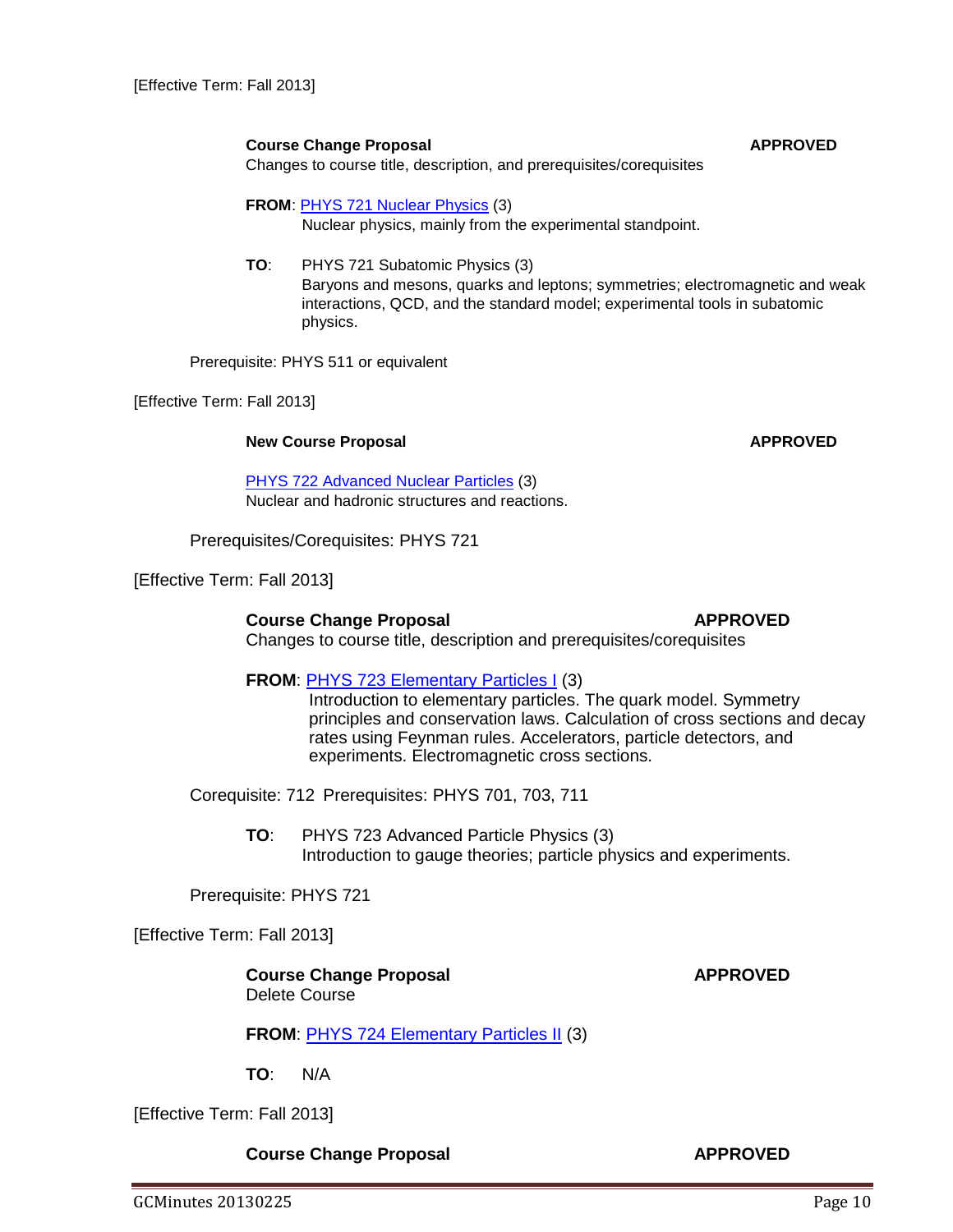[Effective Term: Fall 2013]

### **Course Change Proposal APPROVED**

Changes to course title, description, and prerequisites/corequisites

**FROM**: [PHYS 721 Nuclear Physics](http://gradschool.sc.edu/facstaff/gradcouncil/2012/PHYS%20721%20Nuclear%20Physics%20CCP%20u%2020130214.pdf) (3) Nuclear physics, mainly from the experimental standpoint.

**TO**: PHYS 721 Subatomic Physics (3) Baryons and mesons, quarks and leptons; symmetries; electromagnetic and weak interactions, QCD, and the standard model; experimental tools in subatomic physics.

Prerequisite: PHYS 511 or equivalent

[Effective Term: Fall 2013]

### **New Course Proposal APPROVED**

[PHYS 722 Advanced Nuclear Particles](http://gradschool.sc.edu/facstaff/gradcouncil/2012/PHYS%20722%20Advanced%20Nuclear%20Physics%20NCP%20u%2020130214.pdf) (3) Nuclear and hadronic structures and reactions.

Prerequisites/Corequisites: PHYS 721

[Effective Term: Fall 2013]

**Course Change Proposal APPROVED**

# Changes to course title, description and prerequisites/corequisites

## **FROM**: [PHYS 723 Elementary Particles I](http://gradschool.sc.edu/facstaff/gradcouncil/2012/PHYS%20723%20Elementary%20Particles%20I%20CCP.pdf) (3)

Introduction to elementary particles. The quark model. Symmetry principles and conservation laws. Calculation of cross sections and decay rates using Feynman rules. Accelerators, particle detectors, and experiments. Electromagnetic cross sections.

Corequisite: 712 Prerequisites: PHYS 701, 703, 711

**TO**: PHYS 723 Advanced Particle Physics (3) Introduction to gauge theories; particle physics and experiments.

Prerequisite: PHYS 721

[Effective Term: Fall 2013]

**Course Change Proposal APPROVED** Delete Course

# **FROM: [PHYS 724 Elementary Particles II](http://gradschool.sc.edu/facstaff/gradcouncil/2012/PHYS%20724%20Elementary%20Particles%20II%20CCP.pdf) (3)**

**TO**: N/A

[Effective Term: Fall 2013]

**Course Change Proposal <b>APPROVED**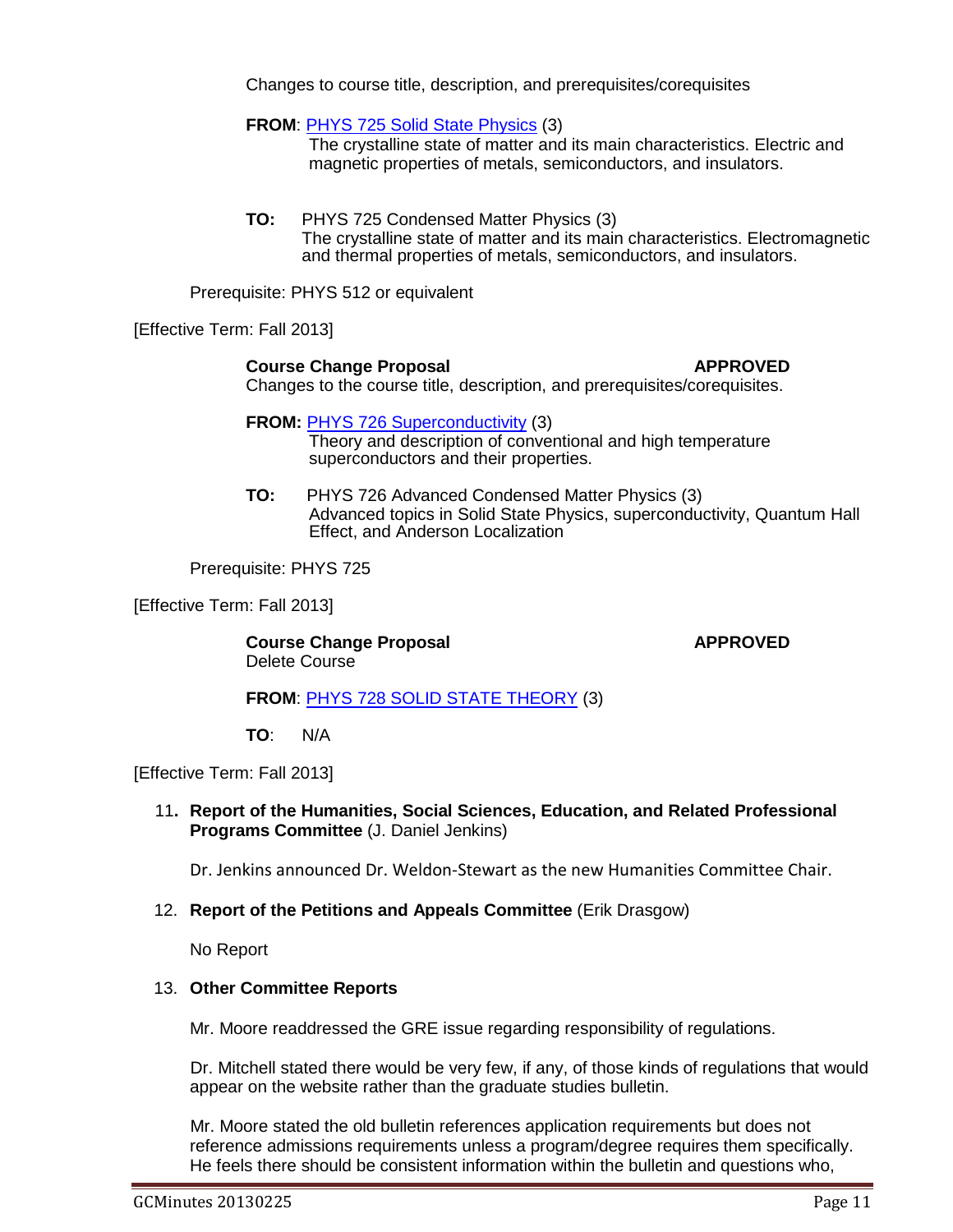Changes to course title, description, and prerequisites/corequisites

**FROM**: [PHYS 725 Solid State Physics](http://gradschool.sc.edu/facstaff/gradcouncil/2012/PHYS%20725%20Solid%20State%20Physics%20CCP%20u20130214.pdf) (3)

The crystalline state of matter and its main characteristics. Electric and magnetic properties of metals, semiconductors, and insulators.

**TO:** PHYS 725 Condensed Matter Physics (3) The crystalline state of matter and its main characteristics. Electromagnetic and thermal properties of metals, semiconductors, and insulators.

Prerequisite: PHYS 512 or equivalent

[Effective Term: Fall 2013]

### **Course Change Proposal APPROVED**

Changes to the course title, description, and prerequisites/corequisites.

**FROM: [PHYS 726 Superconductivity](http://gradschool.sc.edu/facstaff/gradcouncil/2012/PHYS%20726%20Superconductivity%20CCP%20u20130214.pdf) (3)** 

Theory and description of conventional and high temperature superconductors and their properties.

**TO:** PHYS 726 Advanced Condensed Matter Physics (3) Advanced topics in Solid State Physics, superconductivity, Quantum Hall Effect, and Anderson Localization

Prerequisite: PHYS 725

[Effective Term: Fall 2013]

**Course Change Proposal <b>APPROVED** Delete Course

### **FROM**: [PHYS 728 SOLID STATE THEORY](http://gradschool.sc.edu/facstaff/gradcouncil/2012/PHYS%20728%20Solid%20State%20Theory%20CCP%20u20130214.pdf) (3)

**TO**: N/A

[Effective Term: Fall 2013]

11**. Report of the Humanities, Social Sciences, Education, and Related Professional Programs Committee** (J. Daniel Jenkins)

Dr. Jenkins announced Dr. Weldon-Stewart as the new Humanities Committee Chair.

### 12. **Report of the Petitions and Appeals Committee** (Erik Drasgow)

No Report

### 13. **Other Committee Reports**

Mr. Moore readdressed the GRE issue regarding responsibility of regulations.

Dr. Mitchell stated there would be very few, if any, of those kinds of regulations that would appear on the website rather than the graduate studies bulletin.

Mr. Moore stated the old bulletin references application requirements but does not reference admissions requirements unless a program/degree requires them specifically. He feels there should be consistent information within the bulletin and questions who,